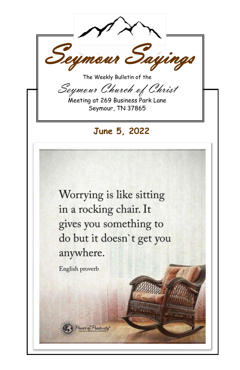Seymour Sayings The Weekly Bulletin of the Seymour Church of Christ Meeting at 269 Business Park Lane Seymour, TN 37865

June 5, 2022

Worrying is like sitting in a rocking chair. It gives you something to do but it doesn't get you anywhere.

English proverb

er of Positivity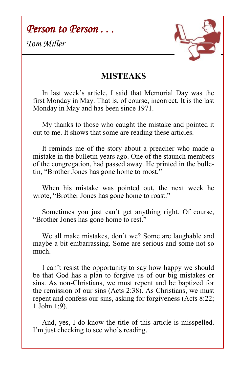*Person to Person . . .* 

*Tom Miller*



## **MISTEAKS**

 In last week's article, I said that Memorial Day was the first Monday in May. That is, of course, incorrect. It is the last Monday in May and has been since 1971.

 My thanks to those who caught the mistake and pointed it out to me. It shows that some are reading these articles.

 It reminds me of the story about a preacher who made a mistake in the bulletin years ago. One of the staunch members of the congregation, had passed away. He printed in the bulletin, "Brother Jones has gone home to roost."

 When his mistake was pointed out, the next week he wrote, "Brother Jones has gone home to roast."

 Sometimes you just can't get anything right. Of course, "Brother Jones has gone home to rest."

 We all make mistakes, don't we? Some are laughable and maybe a bit embarrassing. Some are serious and some not so much.

 I can't resist the opportunity to say how happy we should be that God has a plan to forgive us of our big mistakes or sins. As non-Christians, we must repent and be baptized for the remission of our sins (Acts 2:38). As Christians, we must repent and confess our sins, asking for forgiveness (Acts 8:22; 1 John 1:9).

 And, yes, I do know the title of this article is misspelled. I'm just checking to see who's reading.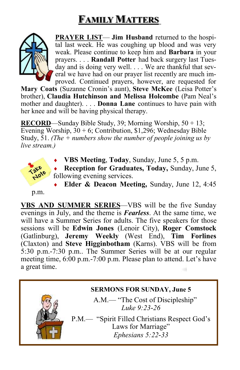## **FAMILY MATTERS**



**PRAYER LIST**— **Jim Husband** returned to the hospital last week. He was coughing up blood and was very weak. Please continue to keep him and **Barbara** in your prayers. . . . **Randall Potter** had back surgery last Tuesday and is doing very well. . . . We are thankful that several we have had on our prayer list recently are much improved. Continued prayers, however, are requested for

**Mary Coats** (Suzanne Cronin's aunt), **Steve McKee** (Leisa Potter's brother), **Claudia Hutchinson and Melissa Holcombe** (Pam Neal's mother and daughter). . . . **Donna Lane** continues to have pain with her knee and will be having physical therapy.

**RECORD**—Sunday Bible Study, 39; Morning Worship, 50 + 13; Evening Worship,  $30 + 6$ ; Contribution, \$1,296; Wednesday Bible Study, 51. *(The + numbers show the number of people joining us by live stream.)*



- **VBS Meeting**, **Today**, Sunday, June 5, 5 p.m.
- **Reception for Graduates, Today,** Sunday, June 5, following evening services.
- **Elder & Deacon Meeting,** Sunday, June 12, 4:45

p.m.

**VBS AND SUMMER SERIES**—VBS will be the five Sunday evenings in July, and the theme is *Fearless*. At the same time, we will have a Summer Series for adults. The five speakers for those sessions will be **Edwin Jones** (Lenoir City), **Roger Comstock**  (Gatlinburg), **Jeremy Weekly** (West End), **Tim Forlines**  (Claxton) and **Steve Higginbotham** (Karns). VBS will be from 5:30 p.m.-7:30 p.m.. The Summer Series will be at our regular meeting time, 6:00 p.m.-7:00 p.m. Please plan to attend. Let's have a great time.